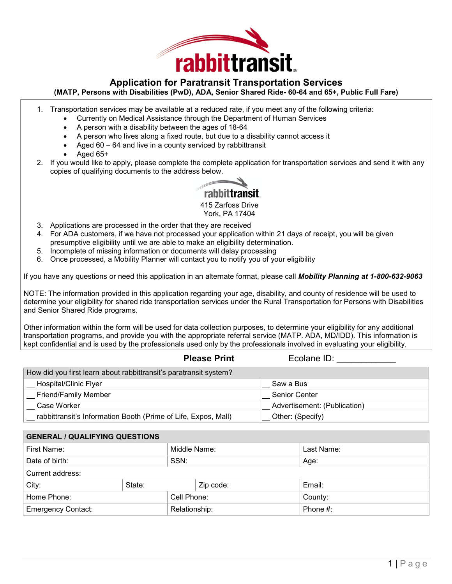

# **Application for Paratransit Transportation Services**

#### **(MATP, Persons with Disabilities (PwD), ADA, Senior Shared Ride- 60-64 and 65+, Public Full Fare)**

- 1. Transportation services may be available at a reduced rate, if you meet any of the following criteria:
	- Currently on Medical Assistance through the Department of Human Services
	- A person with a disability between the ages of 18-64
	- A person who lives along a fixed route, but due to a disability cannot access it
	- Aged  $60 64$  and live in a county serviced by rabbittransit
	- Aged 65+
- 2. If you would like to apply, please complete the complete application for transportation services and send it with any copies of qualifying documents to the address below.



415 Zarfoss Drive York, PA 17404

- 3. Applications are processed in the order that they are received
- 4. For ADA customers, if we have not processed your application within 21 days of receipt, you will be given presumptive eligibility until we are able to make an eligibility determination.
- 5. Incomplete of missing information or documents will delay processing
- 6. Once processed, a Mobility Planner will contact you to notify you of your eligibility

If you have any questions or need this application in an alternate format, please call *Mobility Planning at 1-800-632-9063*

NOTE: The information provided in this application regarding your age, disability, and county of residence will be used to determine your eligibility for shared ride transportation services under the Rural Transportation for Persons with Disabilities and Senior Shared Ride programs.

Other information within the form will be used for data collection purposes, to determine your eligibility for any additional transportation programs, and provide you with the appropriate referral service (MATP. ADA, MD/IDD). This information is kept confidential and is used by the professionals used only by the professionals involved in evaluating your eligibility.

| <b>Please Print</b>                                               | Ecolane ID:                  |
|-------------------------------------------------------------------|------------------------------|
| How did you first learn about rabbittransit's paratransit system? |                              |
| Hospital/Clinic Flyer                                             | Saw a Bus                    |
| <b>Friend/Family Member</b>                                       | <b>Senior Center</b>         |
| Case Worker                                                       | Advertisement: (Publication) |
| rabbittransit's Information Booth (Prime of Life, Expos, Mall)    | Other: (Specify)             |

| <b>GENERAL / QUALIFYING QUESTIONS</b>                  |             |              |           |            |  |
|--------------------------------------------------------|-------------|--------------|-----------|------------|--|
| First Name:                                            |             | Middle Name: |           | Last Name: |  |
| Date of birth:                                         |             | SSN:         |           | Age:       |  |
| Current address:                                       |             |              |           |            |  |
| City:                                                  | State:      |              | Zip code: | Email:     |  |
| Home Phone:                                            | Cell Phone: |              | County:   |            |  |
| Phone #:<br><b>Emergency Contact:</b><br>Relationship: |             |              |           |            |  |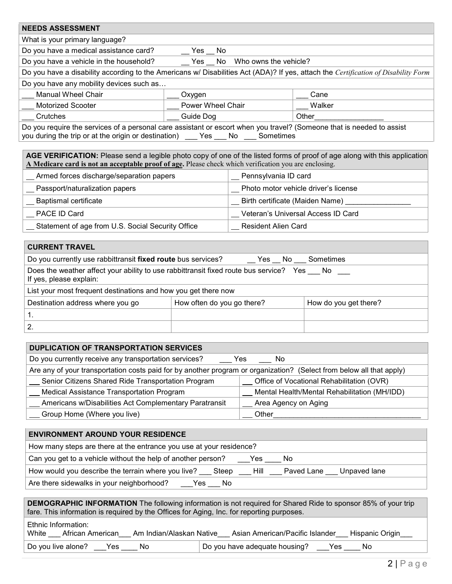| <b>NEEDS ASSESSMENT</b>                                                                                                                                                                                  |                                     |        |  |  |
|----------------------------------------------------------------------------------------------------------------------------------------------------------------------------------------------------------|-------------------------------------|--------|--|--|
| What is your primary language?                                                                                                                                                                           |                                     |        |  |  |
| Do you have a medical assistance card?                                                                                                                                                                   | Yes No                              |        |  |  |
| Do you have a vehicle in the household?                                                                                                                                                                  | Who owns the vehicle?<br>No.<br>Yes |        |  |  |
| Do you have a disability according to the Americans w/ Disabilities Act (ADA)? If yes, attach the Certification of Disability Form                                                                       |                                     |        |  |  |
| Do you have any mobility devices such as                                                                                                                                                                 |                                     |        |  |  |
| <b>Manual Wheel Chair</b>                                                                                                                                                                                | Oxygen                              | Cane   |  |  |
| <b>Motorized Scooter</b>                                                                                                                                                                                 | Power Wheel Chair                   | Walker |  |  |
| Crutches                                                                                                                                                                                                 | Guide Dog                           | Other  |  |  |
| Do you require the services of a personal care assistant or escort when you travel? (Someone that is needed to assist<br>you during the trip or at the origin or destination)<br>Sometimes<br>No.<br>Yes |                                     |        |  |  |

**AGE VERIFICATION:** Please send a legible photo copy of one of the listed forms of proof of age along with this application **A Medicare card is not an acceptable proof of age.** Please check which verification you are enclosing.

| Armed forces discharge/separation papers          | Pennsylvania ID card                 |
|---------------------------------------------------|--------------------------------------|
| Passport/naturalization papers                    | Photo motor vehicle driver's license |
| <b>Baptismal certificate</b>                      | Birth certificate (Maiden Name)      |
| PACE ID Card                                      | Veteran's Universal Access ID Card   |
| Statement of age from U.S. Social Security Office | <b>Resident Alien Card</b>           |

| <b>CURRENT TRAVEL</b>                                                                                                |                            |  |  |  |  |
|----------------------------------------------------------------------------------------------------------------------|----------------------------|--|--|--|--|
| Do you currently use rabbittransit fixed route bus services?                                                         | __ Yes __ No ___ Sometimes |  |  |  |  |
| Does the weather affect your ability to use rabbittransit fixed route bus service? Yes No<br>If yes, please explain: |                            |  |  |  |  |
| List your most frequent destinations and how you get there now                                                       |                            |  |  |  |  |
| How often do you go there?<br>Destination address where you go<br>How do you get there?                              |                            |  |  |  |  |
|                                                                                                                      |                            |  |  |  |  |
| 2.                                                                                                                   |                            |  |  |  |  |

| DUPLICATION OF TRANSPORTATION SERVICES                                                                               |                                              |
|----------------------------------------------------------------------------------------------------------------------|----------------------------------------------|
| Do you currently receive any transportation services?                                                                | No.<br>Yes                                   |
| Are any of your transportation costs paid for by another program or organization? (Select from below all that apply) |                                              |
| Senior Citizens Shared Ride Transportation Program                                                                   | Office of Vocational Rehabilitation (OVR)    |
| <b>Medical Assistance Transportation Program</b>                                                                     | Mental Health/Mental Rehabilitation (MH/IDD) |
| Americans w/Disabilities Act Complementary Paratransit                                                               | Area Agency on Aging                         |
| Group Home (Where you live)                                                                                          | Other                                        |

| <b>ENVIRONMENT AROUND YOUR RESIDENCE</b>                                                           |  |  |  |  |
|----------------------------------------------------------------------------------------------------|--|--|--|--|
| How many steps are there at the entrance you use at your residence?                                |  |  |  |  |
| Can you get to a vehicle without the help of another person?<br>Yes<br>. No                        |  |  |  |  |
| How would you describe the terrain where you live?<br>Hill.<br>Paved Lane<br>Unpaved lane<br>Steep |  |  |  |  |
| Are there sidewalks in your neighborhood?<br>No<br>Yes                                             |  |  |  |  |

| <b>DEMOGRAPHIC INFORMATION</b> The following information is not required for Shared Ride to sponsor 85% of your trip<br>fare. This information is required by the Offices for Aging, Inc. for reporting purposes. |  |  |  |  |  |
|-------------------------------------------------------------------------------------------------------------------------------------------------------------------------------------------------------------------|--|--|--|--|--|
| Ethnic Information:<br>Asian American/Pacific Islander<br>White African American<br>Am Indian/Alaskan Native<br>Hispanic Origin                                                                                   |  |  |  |  |  |
| Do you have adequate housing?<br>Do you live alone?<br>No.<br>Yes<br>No.<br>Yes                                                                                                                                   |  |  |  |  |  |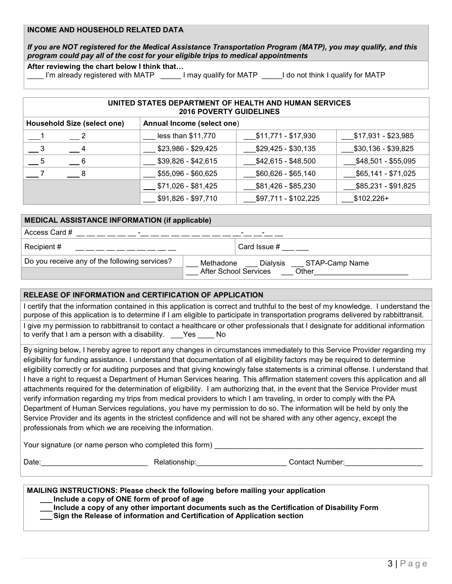## **INCOME AND HOUSEHOLD RELATED DATA**

*If you are NOT registered for the Medical Assistance Transportation Program (MATP), you may qualify, and this program could pay all of the cost for your eligible trips to medical appointments*

**After reviewing the chart below I think that…**

I'm already registered with MATP  $\qquad \qquad$  I may qualify for MATP  $\qquad \qquad$  I do not think I qualify for MATP

| UNITED STATES DEPARTMENT OF HEALTH AND HUMAN SERVICES<br><b>2016 POVERTY GUIDELINES</b> |                     |                      |                     |  |  |
|-----------------------------------------------------------------------------------------|---------------------|----------------------|---------------------|--|--|
| <b>Household Size (select one)</b><br>Annual Income (select one)                        |                     |                      |                     |  |  |
| $\overline{\phantom{0}}$ 2                                                              | less than \$11,770  | \$11,771 - \$17,930  | \$17,931 - \$23,985 |  |  |
|                                                                                         | $$23,986 - $29,425$ | $$29,425 - $30,135$  | \$30,136 - \$39,825 |  |  |
| - 5<br>$-6$                                                                             | $$39,826 - $42,615$ | $$42,615 - $48,500$  | \$48,501 - \$55,095 |  |  |
| 8                                                                                       | $$55,096 - $60,625$ | $$60,626 - $65,140$  | \$65,141 - \$71,025 |  |  |
|                                                                                         | \$71,026 - \$81,425 | \$81,426 - \$85,230  | \$85,231 - \$91,825 |  |  |
|                                                                                         | \$91,826 - \$97,710 | \$97,711 - \$102,225 | $$102,226+$         |  |  |

| <b>MEDICAL ASSISTANCE INFORMATION (if applicable)</b> |                                                                                  |  |  |  |
|-------------------------------------------------------|----------------------------------------------------------------------------------|--|--|--|
| Access Card #<br>$\overline{\phantom{0}}$             | -                                                                                |  |  |  |
| Recipient #                                           | Card Issue $#$                                                                   |  |  |  |
| Do you receive any of the following services?         | STAP-Camp Name<br>Methadone<br>Dialysis<br><b>After School Services</b><br>Other |  |  |  |

#### **RELEASE OF INFORMATION and CERTIFICATION OF APPLICATION**

I certify that the information contained in this application is correct and truthful to the best of my knowledge. I understand the purpose of this application is to determine if I am eligible to participate in transportation programs delivered by rabbittransit.

I give my permission to rabbittransit to contact a healthcare or other professionals that I designate for additional information to verify that I am a person with a disability. \_\_\_Yes \_\_\_\_ No

By signing below, I hereby agree to report any changes in circumstances immediately to this Service Provider regarding my eligibility for funding assistance. I understand that documentation of all eligibility factors may be required to determine eligibility correctly or for auditing purposes and that giving knowingly false statements is a criminal offense. I understand that I have a right to request a Department of Human Services hearing. This affirmation statement covers this application and all attachments required for the determination of eligibility. I am authorizing that, in the event that the Service Provider must verify information regarding my trips from medical providers to which I am traveling, in order to comply with the PA Department of Human Services regulations, you have my permission to do so. The information will be held by only the Service Provider and its agents in the strictest confidence and will not be shared with any other agency, except the professionals from which we are receiving the information.

Your signature (or name person who completed this form)

Date:\_\_\_\_\_\_\_\_\_\_\_\_\_\_\_\_\_\_\_\_\_\_\_\_\_\_ Relationship:\_\_\_\_\_\_\_\_\_\_\_\_\_\_\_\_\_\_\_\_\_\_ Contact Number:\_\_\_\_\_\_\_\_\_\_\_\_\_\_\_\_\_\_\_

### **MAILING INSTRUCTIONS: Please check the following before mailing your application**

**\_\_\_ Include a copy of ONE form of proof of age**

**\_\_\_ Include a copy of any other important documents such as the Certification of Disability Form**

**\_\_\_Sign the Release of information and Certification of Application section**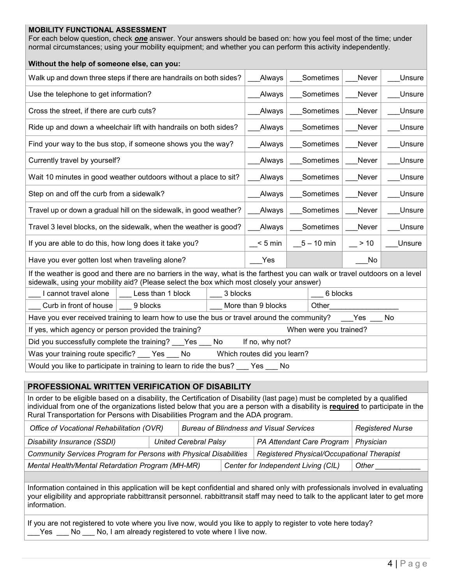#### **MOBILITY FUNCTIONAL ASSESSMENT**

For each below question, check *one* answer. Your answers should be based on: how you feel most of the time; under normal circumstances; using your mobility equipment; and whether you can perform this activity independently.

| Without the help of someone else, can you:                                                                                                                                                                                |                    |              |              |        |  |  |
|---------------------------------------------------------------------------------------------------------------------------------------------------------------------------------------------------------------------------|--------------------|--------------|--------------|--------|--|--|
| Walk up and down three steps if there are handrails on both sides?                                                                                                                                                        | Always             | Sometimes    | <b>Never</b> | Unsure |  |  |
| Use the telephone to get information?                                                                                                                                                                                     | Always             | Sometimes    | Never        | Unsure |  |  |
| Cross the street, if there are curb cuts?                                                                                                                                                                                 | Always             | Sometimes    | Never        | Unsure |  |  |
| Ride up and down a wheelchair lift with handrails on both sides?                                                                                                                                                          | Always             | Sometimes    | Never        | Unsure |  |  |
| Find your way to the bus stop, if someone shows you the way?                                                                                                                                                              | Always             | Sometimes    | Never        | Unsure |  |  |
| Currently travel by yourself?                                                                                                                                                                                             | Always             | Sometimes    | Never        | Unsure |  |  |
| Wait 10 minutes in good weather outdoors without a place to sit?                                                                                                                                                          | Always             | Sometimes    | Never        | Unsure |  |  |
| Step on and off the curb from a sidewalk?                                                                                                                                                                                 | Always             | Sometimes    | Never        | Unsure |  |  |
| Travel up or down a gradual hill on the sidewalk, in good weather?                                                                                                                                                        | Always             | Sometimes    | Never        | Unsure |  |  |
| Travel 3 level blocks, on the sidewalk, when the weather is good?                                                                                                                                                         | Always             | Sometimes    | Never        | Unsure |  |  |
| If you are able to do this, how long does it take you?                                                                                                                                                                    | $< 5$ min          | $5 - 10$ min | $> 10$       | Unsure |  |  |
| Have you ever gotten lost when traveling alone?                                                                                                                                                                           | Yes                |              | No           |        |  |  |
| If the weather is good and there are no barriers in the way, what is the farthest you can walk or travel outdoors on a level<br>sidewalk, using your mobility aid? (Please select the box which most closely your answer) |                    |              |              |        |  |  |
| I cannot travel alone<br>Less than 1 block                                                                                                                                                                                | 3 blocks           | 6 blocks     |              |        |  |  |
| Curb in front of house<br>9 blocks                                                                                                                                                                                        | More than 9 blocks | Other        |              |        |  |  |
| Have you ever received training to learn how to use the bus or travel around the community?<br>No<br>Yes                                                                                                                  |                    |              |              |        |  |  |
| If yes, which agency or person provided the training?<br>When were you trained?                                                                                                                                           |                    |              |              |        |  |  |
| If no, why not?<br>Did you successfully complete the training?<br>No<br>Yes                                                                                                                                               |                    |              |              |        |  |  |
| Was your training route specific?<br>Which routes did you learn?<br>No.<br>Yes                                                                                                                                            |                    |              |              |        |  |  |
| Would you like to participate in training to learn to ride the bus?<br>Yes<br>No                                                                                                                                          |                    |              |              |        |  |  |

## **PROFESSIONAL WRITTEN VERIFICATION OF DISABILITY**

In order to be eligible based on a disability, the Certification of Disability (last page) must be completed by a qualified individual from one of the organizations listed below that you are a person with a disability is **required** to participate in the Rural Transportation for Persons with Disabilities Program and the ADA program.

| Office of Vocational Rehabilitation (OVR)                         |  | <b>Bureau of Blindness and Visual Services</b> |                                     |                                            | <b>Registered Nurse</b> |
|-------------------------------------------------------------------|--|------------------------------------------------|-------------------------------------|--------------------------------------------|-------------------------|
| Disability Insurance (SSDI)                                       |  | <b>United Cerebral Palsy</b>                   |                                     | PA Attendant Care Program                  | Physician               |
| Community Services Program for Persons with Physical Disabilities |  |                                                |                                     | Registered Physical/Occupational Therapist |                         |
| Mental Health/Mental Retardation Program (MH-MR)                  |  |                                                | Center for Independent Living (CIL) | Other                                      |                         |

Information contained in this application will be kept confidential and shared only with professionals involved in evaluating your eligibility and appropriate rabbittransit personnel. rabbittransit staff may need to talk to the applicant later to get more information.

If you are not registered to vote where you live now, would you like to apply to register to vote here today? Yes No No, I am already registered to vote where I live now.